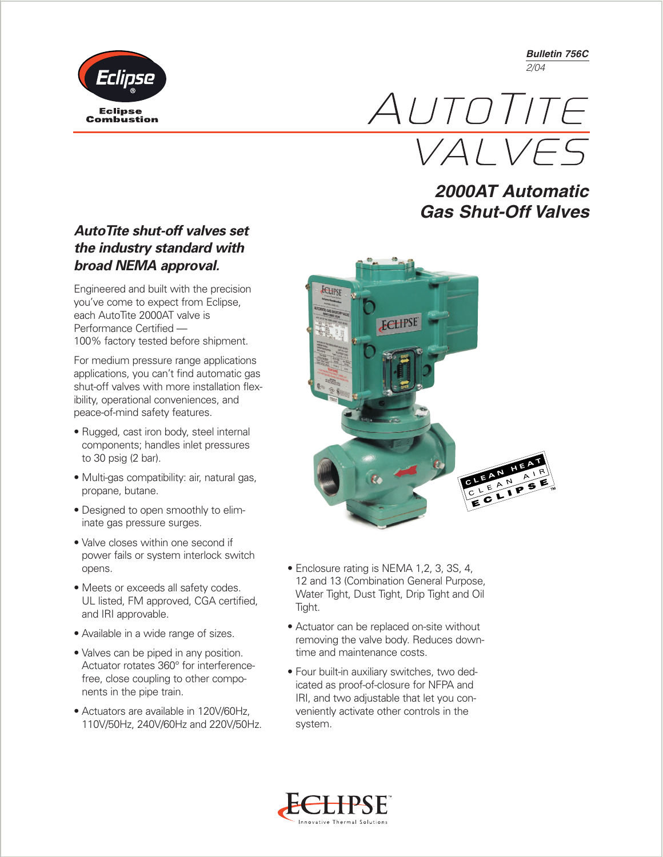*Bulletin 756C 2/04*





## *2000AT Automatic Gas Shut-Off Valves*

## *AutoTite shut-off valves set the industry standard with broad NEMA approval.*

Engineered and built with the precision you've come to expect from Eclipse, each AutoTite 2000AT valve is Performance Certified — 100% factory tested before shipment.

For medium pressure range applications applications, you can't find automatic gas shut-off valves with more installation flexibility, operational conveniences, and peace-of-mind safety features.

- Rugged, cast iron body, steel internal components; handles inlet pressures to 30 psig (2 bar).
- Multi-gas compatibility: air, natural gas, propane, butane.
- Designed to open smoothly to eliminate gas pressure surges.
- Valve closes within one second if power fails or system interlock switch opens.
- Meets or exceeds all safety codes. UL listed, FM approved, CGA certified, and IRI approvable.
- Available in a wide range of sizes.
- Valves can be piped in any position. Actuator rotates 360° for interferencefree, close coupling to other components in the pipe train.
- Actuators are available in 120V/60Hz, 110V/50Hz, 240V/60Hz and 220V/50Hz.



- Enclosure rating is NEMA 1,2, 3, 3S, 4, 12 and 13 (Combination General Purpose, Water Tight, Dust Tight, Drip Tight and Oil Tight.
- Actuator can be replaced on-site without removing the valve body. Reduces downtime and maintenance costs.
- Four built-in auxiliary switches, two dedicated as proof-of-closure for NFPA and IRI, and two adjustable that let you conveniently activate other controls in the system.